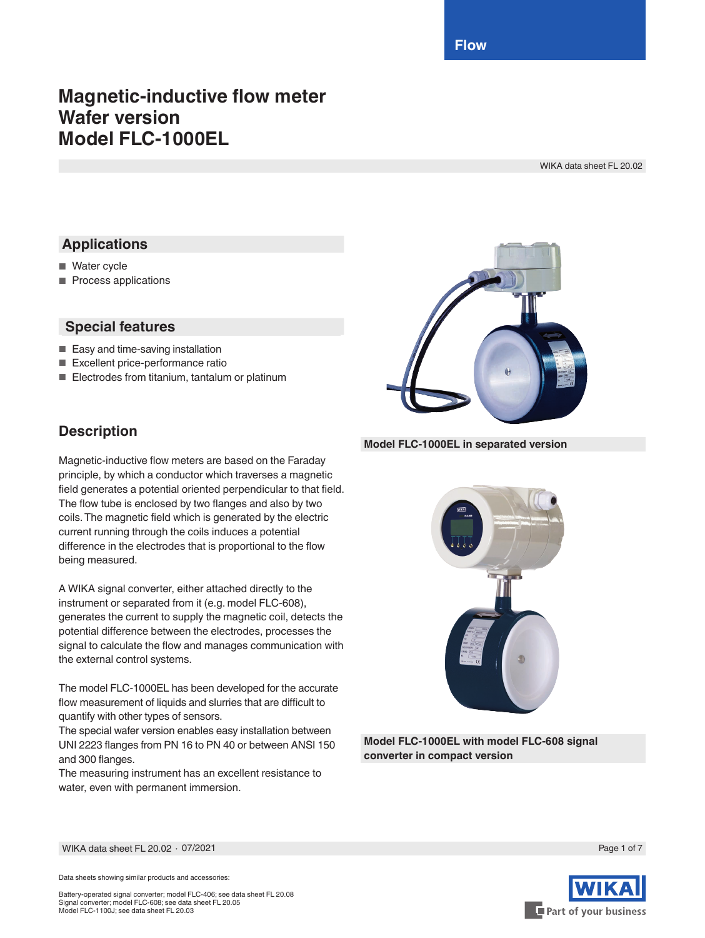**Flow**

# **Magnetic-inductive flow meter Wafer version Model FLC-1000EL**

WIKA data sheet FL 20.02

### **Applications**

- Water cycle
- Process applications

### **Special features**

- Easy and time-saving installation
- Excellent price-performance ratio
- Electrodes from titanium, tantalum or platinum

### **Description**

Magnetic-inductive flow meters are based on the Faraday principle, by which a conductor which traverses a magnetic field generates a potential oriented perpendicular to that field. The flow tube is enclosed by two flanges and also by two coils. The magnetic field which is generated by the electric current running through the coils induces a potential difference in the electrodes that is proportional to the flow being measured.

A WIKA signal converter, either attached directly to the instrument or separated from it (e.g. model FLC-608), generates the current to supply the magnetic coil, detects the potential difference between the electrodes, processes the signal to calculate the flow and manages communication with the external control systems.

The model FLC-1000EL has been developed for the accurate flow measurement of liquids and slurries that are difficult to quantify with other types of sensors.

The special wafer version enables easy installation between UNI 2223 flanges from PN 16 to PN 40 or between ANSI 150 and 300 flanges.

The measuring instrument has an excellent resistance to water, even with permanent immersion.



#### **Model FLC-1000EL in separated version**



**Model FLC-1000EL with model FLC-608 signal converter in compact version**

WIKA data sheet FL 20.02 ∙ 07/2021 Page 1 of 7

Data sheets showing similar products and accessories:

Battery-operated signal converter; model FLC-406; see data sheet FL 20.08 Signal converter; model FLC-608; see data sheet FL 20.05 Model FLC-1100J; see data sheet FL 20.03

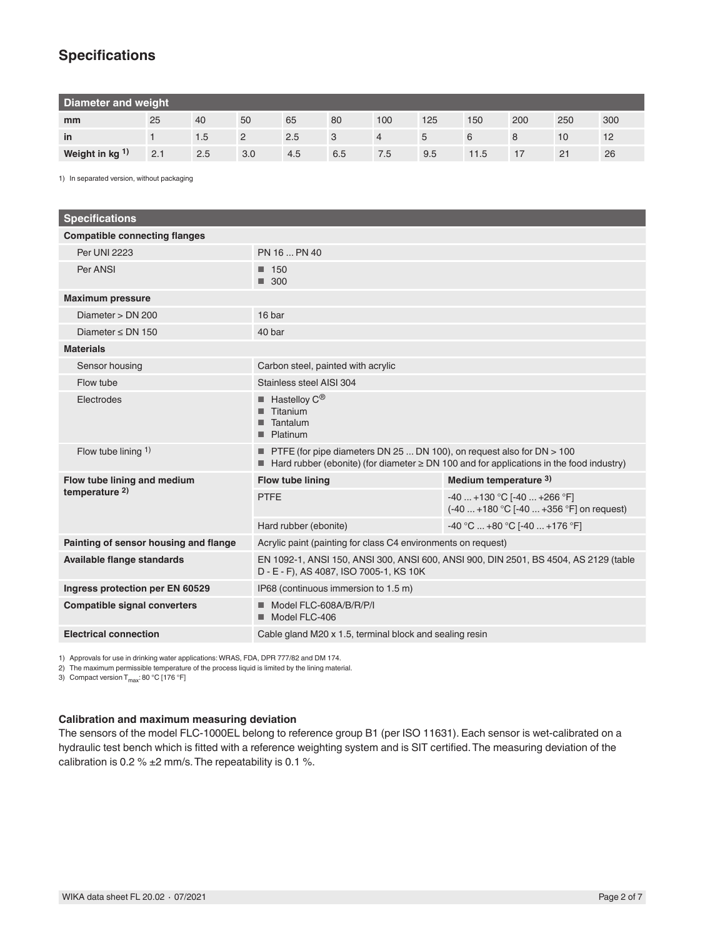## **Specifications**

| Diameter and weight |     |     |                |     |     |                |     |      |     |     |     |
|---------------------|-----|-----|----------------|-----|-----|----------------|-----|------|-----|-----|-----|
| mm                  | 25  | 40  | 50             | 65  | 80  | 100            | 125 | 150  | 200 | 250 | 300 |
| in                  |     | 1.5 | $\overline{2}$ | 2.5 |     | $\overline{4}$ | 5   |      |     | 10  | 12  |
| Weight in $kg1$     | 2.1 | 2.5 | 3.0            | 4.5 | 6.5 | 7.5            | 9.5 | 11.5 |     | 21  | 26  |

1) In separated version, without packaging

| <b>Specifications</b>                 |                                                                                                                                                                                |                                                                          |  |  |  |
|---------------------------------------|--------------------------------------------------------------------------------------------------------------------------------------------------------------------------------|--------------------------------------------------------------------------|--|--|--|
| <b>Compatible connecting flanges</b>  |                                                                                                                                                                                |                                                                          |  |  |  |
| <b>Per UNI 2223</b>                   | PN 16  PN 40                                                                                                                                                                   |                                                                          |  |  |  |
| Per ANSI                              | 150<br>■<br>$\blacksquare$ 300                                                                                                                                                 |                                                                          |  |  |  |
| <b>Maximum pressure</b>               |                                                                                                                                                                                |                                                                          |  |  |  |
| Diameter > DN 200                     | 16 bar                                                                                                                                                                         |                                                                          |  |  |  |
| Diameter $\leq$ DN 150                | 40 bar                                                                                                                                                                         |                                                                          |  |  |  |
| <b>Materials</b>                      |                                                                                                                                                                                |                                                                          |  |  |  |
| Sensor housing                        | Carbon steel, painted with acrylic                                                                                                                                             |                                                                          |  |  |  |
| Flow tube                             | Stainless steel AISI 304                                                                                                                                                       |                                                                          |  |  |  |
| Electrodes                            | Hastelloy C <sup>®</sup><br>Titanium<br>Tantalum<br>Platinum<br>■                                                                                                              |                                                                          |  |  |  |
| Flow tube lining $1$ )                | <b>PTFE</b> (for pipe diameters DN 25  DN 100), on request also for DN $>$ 100<br>Hard rubber (ebonite) (for diameter $\geq$ DN 100 and for applications in the food industry) |                                                                          |  |  |  |
| Flow tube lining and medium           | <b>Flow tube lining</b>                                                                                                                                                        | Medium temperature 3)                                                    |  |  |  |
| temperature $2)$                      | <b>PTFE</b>                                                                                                                                                                    | $-40+130$ °C [ $-40+266$ °F]<br>(-40  +180 °C [-40  +356 °F] on request) |  |  |  |
|                                       | Hard rubber (ebonite)                                                                                                                                                          | $-40 °C$ $+80 °C$ [ $-40$ $+176 °F$ ]                                    |  |  |  |
| Painting of sensor housing and flange | Acrylic paint (painting for class C4 environments on request)                                                                                                                  |                                                                          |  |  |  |
| <b>Available flange standards</b>     | EN 1092-1, ANSI 150, ANSI 300, ANSI 600, ANSI 900, DIN 2501, BS 4504, AS 2129 (table<br>D - E - F), AS 4087, ISO 7005-1, KS 10K                                                |                                                                          |  |  |  |
| Ingress protection per EN 60529       | IP68 (continuous immersion to 1.5 m)                                                                                                                                           |                                                                          |  |  |  |
| <b>Compatible signal converters</b>   | Model FLC-608A/B/R/P/I<br>Model FLC-406                                                                                                                                        |                                                                          |  |  |  |
| <b>Electrical connection</b>          | Cable gland M20 x 1.5, terminal block and sealing resin                                                                                                                        |                                                                          |  |  |  |

1) Approvals for use in drinking water applications: WRAS, FDA, DPR 777/82 and DM 174.

2) The maximum permissible temperature of the process liquid is limited by the lining material.

3) Compact version  $T_{\text{max}}$ : 80 °C [176 °F]

#### **Calibration and maximum measuring deviation**

The sensors of the model FLC-1000EL belong to reference group B1 (per ISO 11631). Each sensor is wet-calibrated on a hydraulic test bench which is fitted with a reference weighting system and is SIT certified. The measuring deviation of the calibration is 0.2 %  $\pm$ 2 mm/s. The repeatability is 0.1 %.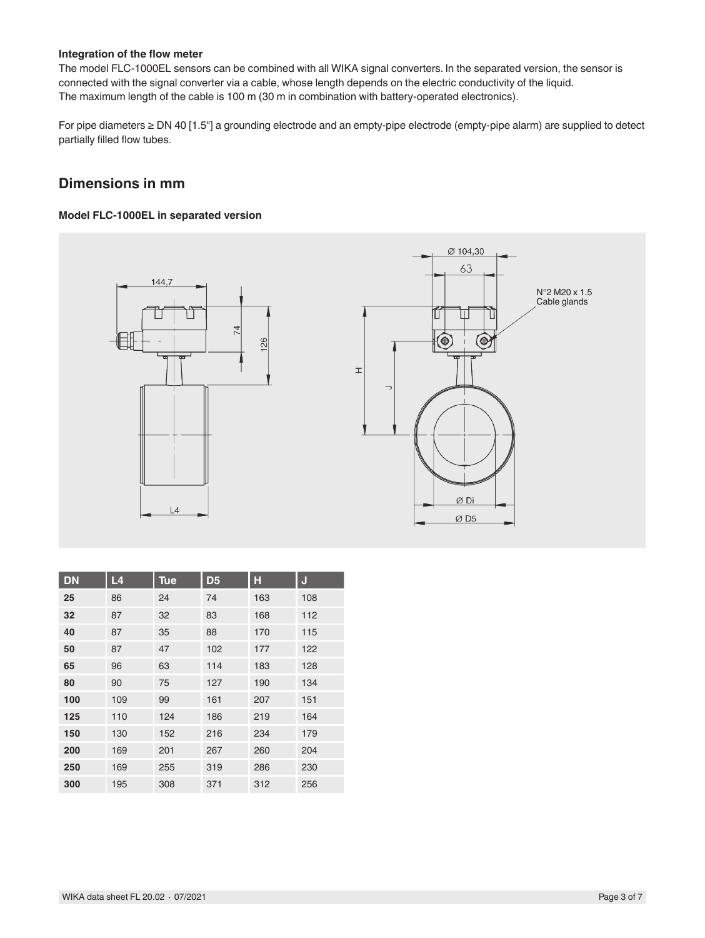#### **Integration of the flow meter**

The model FLC-1000EL sensors can be combined with all WIKA signal converters. In the separated version, the sensor is connected with the signal converter via a cable, whose length depends on the electric conductivity of the liquid. The maximum length of the cable is 100 m (30 m in combination with battery-operated electronics).

For pipe diameters ≥ DN 40 [1.5"] a grounding electrode and an empty-pipe electrode (empty-pipe alarm) are supplied to detect partially filled flow tubes.

### **Dimensions in mm**

#### **Model FLC-1000EL in separated version**



| <b>DN</b> | L <sub>4</sub> | <b>Tue</b> | D <sub>5</sub> | Н   | J   |
|-----------|----------------|------------|----------------|-----|-----|
| 25        | 86             | 24         | 74             | 163 | 108 |
| 32        | 87             | 32         | 83             | 168 | 112 |
| 40        | 87             | 35         | 88             | 170 | 115 |
| 50        | 87             | 47         | 102            | 177 | 122 |
| 65        | 96             | 63         | 114            | 183 | 128 |
| 80        | 90             | 75         | 127            | 190 | 134 |
| 100       | 109            | 99         | 161            | 207 | 151 |
| 125       | 110            | 124        | 186            | 219 | 164 |
| 150       | 130            | 152        | 216            | 234 | 179 |
| 200       | 169            | 201        | 267            | 260 | 204 |
| 250       | 169            | 255        | 319            | 286 | 230 |
| 300       | 195            | 308        | 371            | 312 | 256 |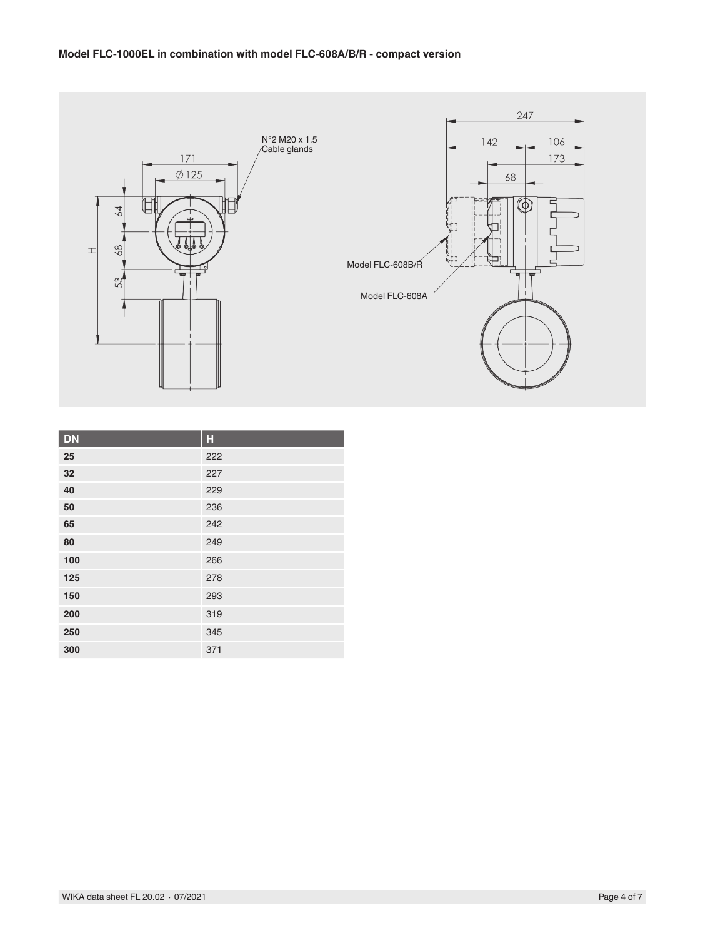#### **Model FLC-1000EL in combination with model FLC-608A/B/R - compact version**



| <b>DN</b> | H   |
|-----------|-----|
| 25        | 222 |
| 32        | 227 |
| 40        | 229 |
| 50        | 236 |
| 65        | 242 |
| 80        | 249 |
| 100       | 266 |
| 125       | 278 |
| 150       | 293 |
| 200       | 319 |
| 250       | 345 |
| 300       | 371 |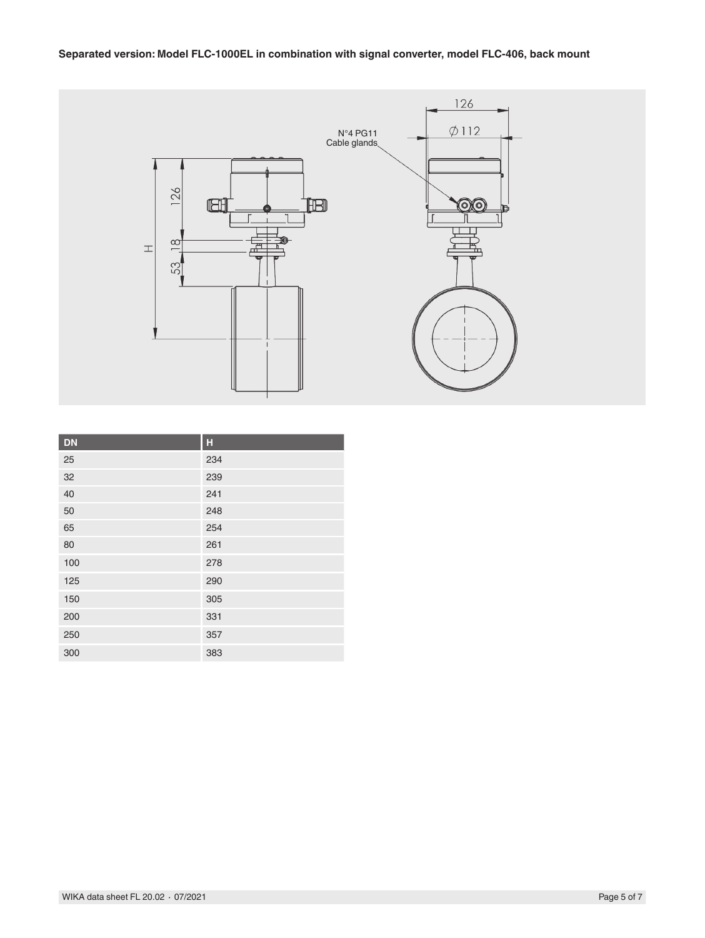#### **Separated version: Model FLC-1000EL in combination with signal converter, model FLC-406, back mount**



| <b>DN</b> | н   |
|-----------|-----|
| 25        | 234 |
| 32        | 239 |
| 40        | 241 |
| 50        | 248 |
| 65        | 254 |
| 80        | 261 |
| 100       | 278 |
| 125       | 290 |
| 150       | 305 |
| 200       | 331 |
| 250       | 357 |
| 300       | 383 |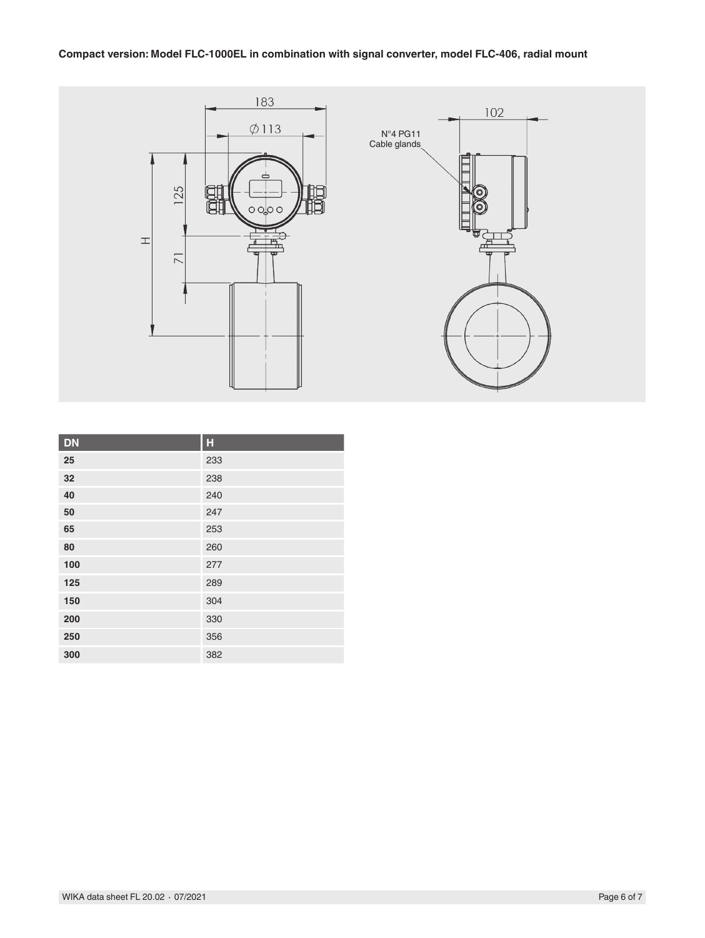#### **Compact version: Model FLC-1000EL in combination with signal converter, model FLC-406, radial mount**



| <b>DN</b> | Н   |
|-----------|-----|
| 25        | 233 |
| 32        | 238 |
| 40        | 240 |
| 50        | 247 |
| 65        | 253 |
| 80        | 260 |
| 100       | 277 |
| 125       | 289 |
| 150       | 304 |
| 200       | 330 |
| 250       | 356 |
| 300       | 382 |